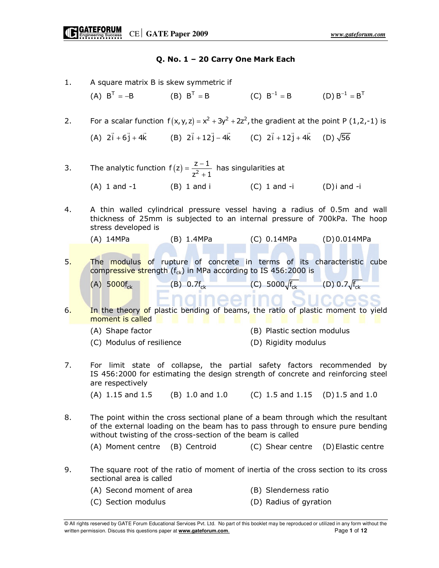### Q. No. 1 – 20 Carry One Mark Each

- 1. A square matrix B is skew symmetric if (A)  $B^{T} = -B$  (B)  $B^{T} = B$  (C)  $B^{-1} = B$  (D)  $B^{-1} = B^{T}$ 2. For a scalar function  $f(x,y,z) = x^2 + 3y^2 + 2z^2$ , the gradient at the point P (1,2,-1) is (A)  $2\vec{i} + 6\vec{j} + 4\vec{k}$  (B)  $2\vec{i} + 12\vec{j} - 4\vec{k}$  (C)  $2\vec{i} + 12\vec{j} + 4\vec{k}$  (D)  $\sqrt{56}$ 3. The analytic function  $f(z) = \frac{z-1}{z^2+1}$  $=\frac{z-}{z}$  has singularities at  $z^2 + 1$ +  $(A)$  1 and -1 (B) 1 and i (C) 1 and -i (D) i and -i 4. A thin walled cylindrical pressure vessel having a radius of 0.5m and wall thickness of 25mm is subjected to an internal pressure of 700kPa. The hoop stress developed is (A) 14MPa (B) 1.4MPa (C) 0.14MPa (D) 0.014MPa 5. The modulus of rupture of concrete in terms of its characteristic cube compressive strength  $(f_{ck})$  in MPa according to IS 456:2000 is (A)  $5000f_{ck}$  (B)  $0.7f_{ck}$  (C)  $5000\sqrt{f_{ck}}$  (D)  $0.7\sqrt{f_{ck}}$ nameering Succes 6. In the theory of plastic bending of beams, the ratio of plastic moment to yield moment is called **the contract of the contract of the contract of the contract of the contract of the contract of the contract of the contract of the contract of the contract of the contract of the contract of the contract**  (A) Shape factor (B) Plastic section modulus (C) Modulus of resilience (D) Rigidity modulus 7. For limit state of collapse, the partial safety factors recommended by IS 456:2000 for estimating the design strength of concrete and reinforcing steel are respectively (A) 1.15 and 1.5 (B) 1.0 and 1.0 (C) 1.5 and 1.15 (D) 1.5 and 1.0
- 8. The point within the cross sectional plane of a beam through which the resultant of the external loading on the beam has to pass through to ensure pure bending without twisting of the cross-section of the beam is called

(A) Moment centre (B) Centroid (C) Shear centre (D) Elastic centre

- 9. The square root of the ratio of moment of inertia of the cross section to its cross sectional area is called
	- (A) Second moment of area (B) Slenderness ratio
	- (C) Section modulus (D) Radius of gyration

<sup>©</sup> All rights reserved by GATE Forum Educational Services Pvt. Ltd. No part of this booklet may be reproduced or utilized in any form without the written permission. Discuss this questions paper at **www.gateforum.com.** Page 1 of **12 Page 1** of **12**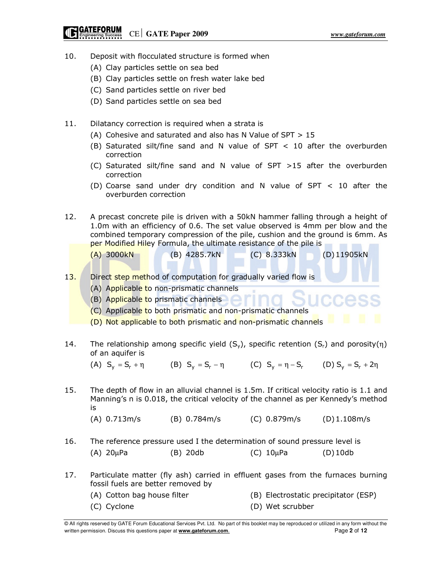- 10. Deposit with flocculated structure is formed when
	- (A) Clay particles settle on sea bed
	- (B) Clay particles settle on fresh water lake bed
	- (C) Sand particles settle on river bed
	- (D) Sand particles settle on sea bed
- 11. Dilatancy correction is required when a strata is
	- (A) Cohesive and saturated and also has N Value of  $SPT > 15$
	- (B) Saturated silt/fine sand and N value of SPT < 10 after the overburden correction
	- (C) Saturated silt/fine sand and N value of SPT >15 after the overburden correction
	- (D) Coarse sand under dry condition and N value of SPT < 10 after the overburden correction
- 12. A precast concrete pile is driven with a 50kN hammer falling through a height of 1.0m with an efficiency of 0.6. The set value observed is 4mm per blow and the combined temporary compression of the pile, cushion and the ground is 6mm. As per Modified Hiley Formula, the ultimate resistance of the pile is
- (A) 3000kN (B) 4285.7kN (C) 8.333kN (D) 11905kN 13. Direct step method of computation for gradually varied flow is (A) Applicable to non-prismatic channels (B) Applicable to prismatic channels
	-
	- (C) Applicable to both prismatic and non-prismatic channels
	- (D) Not applicable to both prismatic and non-prismatic channels
- 14. The relationship among specific yield  $(S_y)$ , specific retention  $(S_r)$  and porosity(n) of an aquifer is

(A)  $S_v = S_r + \eta$  (B)  $S_v = S_r - \eta$  (C)  $S_v = \eta - S_r$  (D)  $S_v = S_r + 2\eta$ 

15. The depth of flow in an alluvial channel is 1.5m. If critical velocity ratio is 1.1 and Manning's n is 0.018, the critical velocity of the channel as per Kennedy's method is

(A) 0.713m/s (B) 0.784m/s (C) 0.879m/s (D) 1.108m/s

- 16. The reference pressure used I the determination of sound pressure level is (A) 20µPa (B) 20db (C) 10µPa (D) 10db
- 17. Particulate matter (fly ash) carried in effluent gases from the furnaces burning fossil fuels are better removed by (A) Cotton bag house filter (B) Electrostatic precipitator (ESP)
	-
- 
- (C) Cyclone (D) Wet scrubber

<sup>©</sup> All rights reserved by GATE Forum Educational Services Pvt. Ltd. No part of this booklet may be reproduced or utilized in any form without the written permission. Discuss this questions paper at **www.gateforum.com.** Page 2 of 12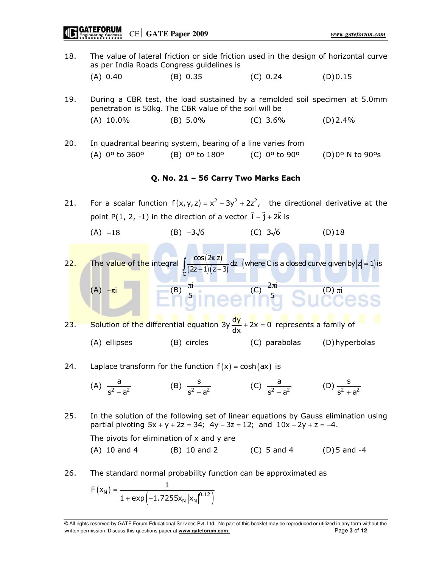**CATEFORUM**<br>Engineering success CE GATE Paper 2009

- 18. The value of lateral friction or side friction used in the design of horizontal curve as per India Roads Congress guidelines is (A) 0.40 (B) 0.35 (C) 0.24 (D) 0.15
- 19. During a CBR test, the load sustained by a remolded soil specimen at 5.0mm penetration is 50kg. The CBR value of the soil will be (A) 10.0% (B) 5.0% (C) 3.6% (D) 2.4%
- 20. In quadrantal bearing system, bearing of a line varies from (A) 0º to 360º (B) 0º to 180º (C) 0º to 90º (D) 0º N to 90ºs

#### Q. No. 21 – 56 Carry Two Marks Each

21. For a scalar function  $f(x, y, z) = x^2 + 3y^2 + 2z^2$ , the directional derivative at the point P(1, 2, -1) in the direction of a vector  $\vec{i} - \vec{j} + 2\vec{k}$  is

(A)  $-18$  (B)  $-3\sqrt{6}$  (C)  $3\sqrt{6}$  (D) 18

22. The value of the integral  $\int \frac{\cos(2\pi z)}{\sqrt{2}}$  $\int_{C} \frac{1}{(2z-1)(z-3)}$  $\frac{\cos(2\pi z)}{2z-1)(z-3)}dz$ π  $\int \frac{\cos(2k/2)}{(2z-1)(z-3)} dz$  (where C is a closed curve given by  $|z|=1$ ) is  $(A)$   $-\pi i$  (B) 5 π  $\frac{2\pi i}{5}$ π (D) πi

23. Solution of the differential equation  $3y \frac{dy}{dx} + 2x = 0$  represents a family of (A) ellipses (B) circles (C) parabolas (D) hyperbolas

- 24. Laplace transform for the function  $f(x) = \cosh(ax)$  is
- (A)  $\frac{a}{c^2 a^2}$  $s^2 - a^2$ (B)  $\frac{S}{c^2-2^2}$  $\frac{s}{s^2-a^2}$  (C)  $\frac{a}{s^2+a^2}$  $rac{a}{s^2 + a^2}$  (D)  $rac{s}{s^2 + a^2}$  $s^2 + a^2$

25. In the solution of the following set of linear equations by Gauss elimination using partial pivoting  $5x + y + 2z = 34$ ;  $4y - 3z = 12$ ; and  $10x - 2y + z = -4$ . The pivots for elimination of  $x$  and  $y$  are (A) 10 and 4 (B) 10 and 2 (C) 5 and 4 (D) 5 and -4

26. The standard normal probability function can be approximated as

$$
F(x_{N}) = \frac{1}{1 + \exp(-1.7255x_{N} |x_{N}|^{0.12})}
$$

<sup>©</sup> All rights reserved by GATE Forum Educational Services Pvt. Ltd. No part of this booklet may be reproduced or utilized in any form without the written permission. Discuss this questions paper at **www.gateforum.com.** Page **3** of **12**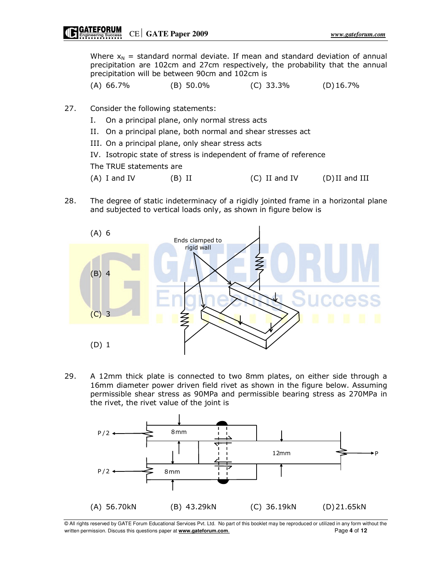Where  $x_N$  = standard normal deviate. If mean and standard deviation of annual precipitation are 102cm and 27cm respectively, the probability that the annual precipitation will be between 90cm and 102cm is

(A) 66.7% (B) 50.0% (C) 33.3% (D) 16.7%

- 27. Consider the following statements:
	- I. On a principal plane, only normal stress acts
	- II. On a principal plane, both normal and shear stresses act
	- III. On a principal plane, only shear stress acts

IV. Isotropic state of stress is independent of frame of reference

The TRUE statements are

- $(A)$  I and IV  $(B)$  II  $(C)$  II and IV  $(D)$  II and III
- 28. The degree of static indeterminacy of a rigidly jointed frame in a horizontal plane and subjected to vertical loads only, as shown in figure below is



29. A 12mm thick plate is connected to two 8mm plates, on either side through a 16mm diameter power driven field rivet as shown in the figure below. Assuming permissible shear stress as 90MPa and permissible bearing stress as 270MPa in the rivet, the rivet value of the joint is



© All rights reserved by GATE Forum Educational Services Pvt. Ltd. No part of this booklet may be reproduced or utilized in any form without the written permission. Discuss this questions paper at **www.gateforum.com.** Page 4 of 12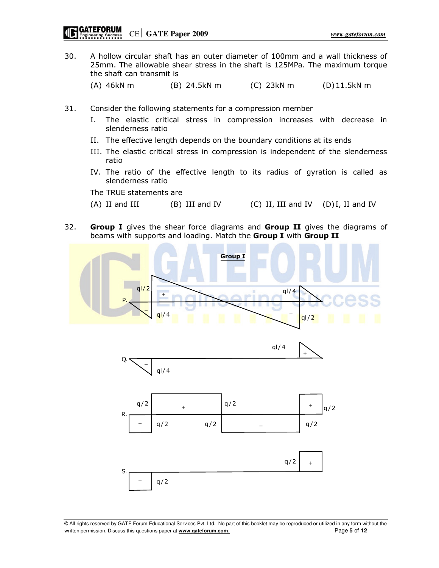30. A hollow circular shaft has an outer diameter of 100mm and a wall thickness of 25mm. The allowable shear stress in the shaft is 125MPa. The maximum torque the shaft can transmit is

(A) 46kN m (B) 24.5kN m (C) 23kN m (D) 11.5kN m

- 31. Consider the following statements for a compression member
	- I. The elastic critical stress in compression increases with decrease in slenderness ratio
	- II. The effective length depends on the boundary conditions at its ends
	- III. The elastic critical stress in compression is independent of the slenderness ratio
	- IV. The ratio of the effective length to its radius of gyration is called as slenderness ratio

The TRUE statements are

- (A) II and III  $( B )$  III and IV  $( C )$  II, III and IV  $( D ) I$ , II and IV
- 32. **Group I** gives the shear force diagrams and **Group II** gives the diagrams of beams with supports and loading. Match the Group I with Group II



<sup>©</sup> All rights reserved by GATE Forum Educational Services Pvt. Ltd. No part of this booklet may be reproduced or utilized in any form without the written permission. Discuss this questions paper at **www.gateforum.com.** Page 5 of 12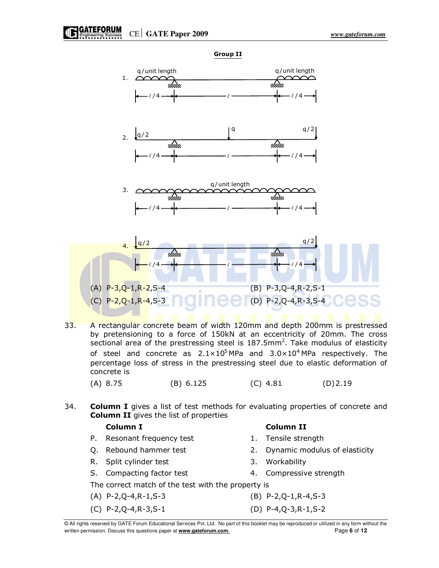

33. A rectangular concrete beam of width 120mm and depth 200mm is prestressed by pretensioning to a force of 150kN at an eccentricity of 20mm. The cross sectional area of the prestressing steel is  $187.5$ mm<sup>2</sup>. Take modulus of elasticity of steel and concrete as  $2.1 \times 10^5$  MPa and  $3.0 \times 10^4$  MPa respectively. The percentage loss of stress in the prestressing steel due to elastic deformation of concrete is

(A) 8.75 (B) 6.125 (C) 4.81 (D) 2.19

34. **Column I** gives a list of test methods for evaluating properties of concrete and Column II gives the list of properties

## Column I Column II P. Resonant frequency test 1. Tensile strength

- 
- R. Split cylinder test 3. Workability
- S. Compacting factor test 4. Compressive strength
- The correct match of the test with the property is
- 
- (C) P-2,Q-4,R-3,S-1 (D) P-4,Q-3,R-1,S-2

- 
- Q. Rebound hammer test 2. Dynamic modulus of elasticity
	-
	-

- (A) P-2,Q-4,R-1,S-3 (B) P-2,Q-1,R-4,S-3
	-

<sup>©</sup> All rights reserved by GATE Forum Educational Services Pvt. Ltd. No part of this booklet may be reproduced or utilized in any form without the written permission. Discuss this questions paper at **www.gateforum.com.** Page 6 of 12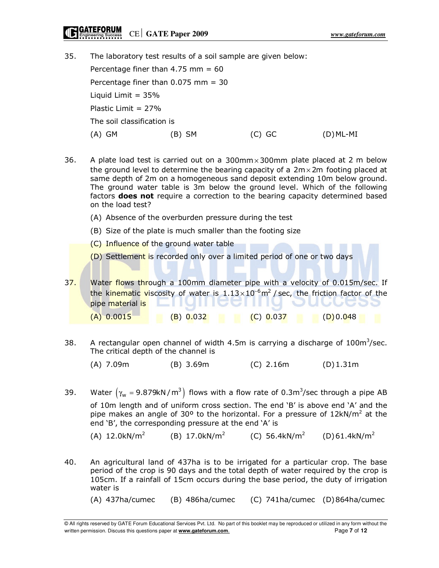# **CATEFORUM**<br>Engineering success CE GATE Paper 2009

35. The laboratory test results of a soil sample are given below:

Percentage finer than  $4.75$  mm =  $60$  Percentage finer than 0.075 mm = 30 Liquid Limit  $= 35\%$ Plastic Limit  $= 27\%$  The soil classification is  $(A)$  GM  $(B)$  SM  $(C)$  GC  $(D)$  ML-MI

- 36. A plate load test is carried out on a 300mm $\times$ 300mm plate placed at 2 m below the ground level to determine the bearing capacity of a  $2m \times 2m$  footing placed at same depth of 2m on a homogeneous sand deposit extending 10m below ground. The ground water table is 3m below the ground level. Which of the following factors **does not** require a correction to the bearing capacity determined based on the load test?
	- (A) Absence of the overburden pressure during the test
	- (B) Size of the plate is much smaller than the footing size
	- (C) Influence of the ground water table
	- (D) Settlement is recorded only over a limited period of one or two days

37. Water flows through a 100mm diameter pipe with a velocity of 0.015m/sec. If the kinematic viscosity of water is 1.13 $\times 10^{-6}$  m<sup>2</sup> / sec, the friction factor of the pipe material is  $(A)$  0.0015 (B) 0.032 (C) 0.037 (D) 0.048

- 38. A rectangular open channel of width 4.5m is carrying a discharge of  $100m^3$ /sec. The critical depth of the channel is
	- (A) 7.09m (B) 3.69m (C) 2.16m (D) 1.31m
- 39. Water  $(\gamma_w = 9.879kN/m^3)$  flows with a flow rate of 0.3m<sup>3</sup>/sec through a pipe AB of 10m length and of uniform cross section. The end 'B' is above end 'A' and the pipe makes an angle of 30° to the horizontal. For a pressure of  $12kN/m<sup>2</sup>$  at the end 'B', the corresponding pressure at the end 'A' is

 $(A) 12.0kN/m<sup>2</sup>$ (B)  $17.0 \text{kN/m}^2$ (C)  $56.4 \text{kN/m}^2$  $(D) 61.4kN/m<sup>2</sup>$ 

40. An agricultural land of 437ha is to be irrigated for a particular crop. The base period of the crop is 90 days and the total depth of water required by the crop is 105cm. If a rainfall of 15cm occurs during the base period, the duty of irrigation water is

(A) 437ha/cumec (B) 486ha/cumec (C) 741ha/cumec (D) 864ha/cumec

© All rights reserved by GATE Forum Educational Services Pvt. Ltd. No part of this booklet may be reproduced or utilized in any form without the written permission. Discuss this questions paper at **www.gateforum.com.** Page **7** of **12** Page **7** of **12**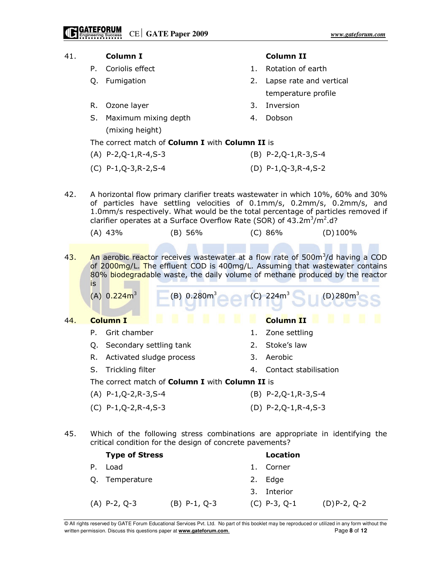|     |                                                                                                                                                                                                                                                                                                                                           | <b>Type of Stress</b>    |                         |                          | <b>Location</b>                  |                |  |
|-----|-------------------------------------------------------------------------------------------------------------------------------------------------------------------------------------------------------------------------------------------------------------------------------------------------------------------------------------------|--------------------------|-------------------------|--------------------------|----------------------------------|----------------|--|
| 45. | Which of the following stress combinations are appropriate in identifying the<br>critical condition for the design of concrete pavements?                                                                                                                                                                                                 |                          |                         |                          |                                  |                |  |
|     | $(C) P-1,Q-2,R-4,S-3$                                                                                                                                                                                                                                                                                                                     |                          |                         | $(D)$ P-2, Q-1, R-4, S-3 |                                  |                |  |
|     | $(A)$ P-1,Q-2,R-3,S-4                                                                                                                                                                                                                                                                                                                     |                          |                         | $(B)$ P-2, Q-1, R-3, S-4 |                                  |                |  |
|     | The correct match of Column I with Column II is                                                                                                                                                                                                                                                                                           |                          |                         |                          |                                  |                |  |
|     | S.                                                                                                                                                                                                                                                                                                                                        | Trickling filter         |                         | 4.                       | Contact stabilisation            |                |  |
|     | R.                                                                                                                                                                                                                                                                                                                                        | Activated sludge process |                         | 3.                       | Aerobic                          |                |  |
|     | Q.                                                                                                                                                                                                                                                                                                                                        | Secondary settling tank  |                         | 2.                       | Stoke's law                      |                |  |
|     | Ρ.                                                                                                                                                                                                                                                                                                                                        | Grit chamber             |                         | 1.                       | Zone settling                    |                |  |
| 44. |                                                                                                                                                                                                                                                                                                                                           | <b>Column I</b>          |                         |                          | <b>Column II</b>                 |                |  |
|     |                                                                                                                                                                                                                                                                                                                                           | (A) 0.224m <sup>3</sup>  | (B) 0.280m <sup>3</sup> |                          | $(C)$ 224 $m3$                   | $(D)$ 280 $m3$ |  |
| 43. | An aerobic reactor receives wastewater at a flow rate of $500m^3/d$ having a COD<br>of 2000mg/L. The effluent COD is 400mg/L. Assuming that wastewater contains<br>80% biodegradable waste, the daily volume of methane produced by the reactor<br>is                                                                                     |                          |                         |                          |                                  |                |  |
|     |                                                                                                                                                                                                                                                                                                                                           | $(A)$ 43%                | (B) 56%                 |                          | (C) 86%                          | $(D)$ 100%     |  |
| 42. | A horizontal flow primary clarifier treats wastewater in which 10%, 60% and 30%<br>of particles have settling velocities of 0.1mm/s, 0.2mm/s, 0.2mm/s, and<br>1.0mm/s respectively. What would be the total percentage of particles removed if<br>clarifier operates at a Surface Overflow Rate (SOR) of $43.2 \text{m}^3/\text{m}^2$ .d? |                          |                         |                          |                                  |                |  |
|     |                                                                                                                                                                                                                                                                                                                                           | $(C)$ P-1,Q-3,R-2,S-4    |                         |                          | $(D)$ P-1, Q-3, R-4, S-2         |                |  |
|     | $(A)$ P-2, Q-1, R-4, S-3                                                                                                                                                                                                                                                                                                                  |                          |                         |                          | $(B)$ P-2,Q-1,R-3,S-4            |                |  |
|     | The correct match of <b>Column I</b> with <b>Column II</b> is                                                                                                                                                                                                                                                                             |                          |                         |                          |                                  |                |  |
|     |                                                                                                                                                                                                                                                                                                                                           | (mixing height)          |                         |                          |                                  |                |  |
|     | S.                                                                                                                                                                                                                                                                                                                                        | Maximum mixing depth     |                         | 3.<br>4.                 | Dobson                           |                |  |
|     | R.                                                                                                                                                                                                                                                                                                                                        | Ozone layer              |                         |                          | temperature profile<br>Inversion |                |  |
|     | Q.                                                                                                                                                                                                                                                                                                                                        | Fumigation               |                         |                          | Lapse rate and vertical          |                |  |
|     | P.                                                                                                                                                                                                                                                                                                                                        | Coriolis effect          |                         | 1.<br>2.                 | Rotation of earth                |                |  |
| 41. |                                                                                                                                                                                                                                                                                                                                           | <b>Column I</b>          |                         |                          | <b>Column II</b>                 |                |  |
|     |                                                                                                                                                                                                                                                                                                                                           |                          |                         |                          |                                  |                |  |

|  |                |                | -------        |                |
|--|----------------|----------------|----------------|----------------|
|  | P. Load        |                | 1. Corner      |                |
|  | Q. Temperature |                | 2. Edge        |                |
|  |                |                | 3. Interior    |                |
|  | $(A)$ P-2, Q-3 | $(B)$ P-1, Q-3 | $(C) P-3, Q-1$ | $(D)$ P-2, Q-2 |
|  |                |                |                |                |

<sup>©</sup> All rights reserved by GATE Forum Educational Services Pvt. Ltd. No part of this booklet may be reproduced or utilized in any form without the written permission. Discuss this questions paper at **www.gateforum.com.** Page 8 of 12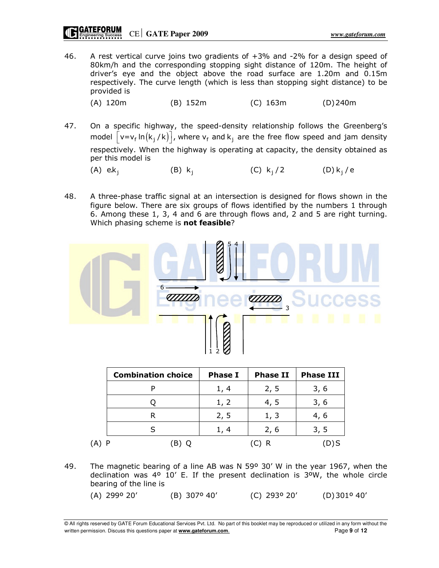46. A rest vertical curve joins two gradients of +3% and -2% for a design speed of 80km/h and the corresponding stopping sight distance of 120m. The height of driver's eye and the object above the road surface are 1.20m and 0.15m respectively. The curve length (which is less than stopping sight distance) to be provided is

(A) 120m (B) 152m (C) 163m (D) 240m

47. On a specific highway, the speed-density relationship follows the Greenberg's model  $\left[\mathsf{v}=\mathsf{v}_{\mathsf{f}} \ln \left(\mathsf{k}_{\mathsf{j}} / \mathsf{k} \right)\right]$ , where  $\mathsf{v}_{\mathsf{f}}$  and  $\mathsf{k}_{\mathsf{j}}$  are the free flow speed and jam density respectively. When the highway is operating at capacity, the density obtained as per this model is

 $(A)$  e.k<sub>i</sub> (B) k<sub>j</sub> (C) k<sub>j</sub>/2 (D) k<sub>j</sub>/e

48. A three-phase traffic signal at an intersection is designed for flows shown in the figure below. There are six groups of flows identified by the numbers 1 through 6. Among these 1, 3, 4 and 6 are through flows and, 2 and 5 are right turning. Which phasing scheme is **not feasible**?



| <b>Combination choice</b> | <b>Phase I</b> | <b>Phase II</b> | <b>Phase III</b> |
|---------------------------|----------------|-----------------|------------------|
|                           | 1, 4           | 2, 5            | 3, 6             |
|                           | 1, 2           | 4, 5            | 3, 6             |
| R                         | 2, 5           | 1, 3            | 4, 6             |
|                           | 1, 4           | 2, 6            | 3, 5             |
|                           |                | - R             |                  |

49. The magnetic bearing of a line AB was N 59º 30' W in the year 1967, when the declination was 4º 10' E. If the present declination is 3ºW, the whole circle bearing of the line is

(A) 299º 20' (B) 307º 40' (C) 293º 20' (D) 301º 40'

<sup>©</sup> All rights reserved by GATE Forum Educational Services Pvt. Ltd. No part of this booklet may be reproduced or utilized in any form without the written permission. Discuss this questions paper at **www.gateforum.com.** Page 9 of **12**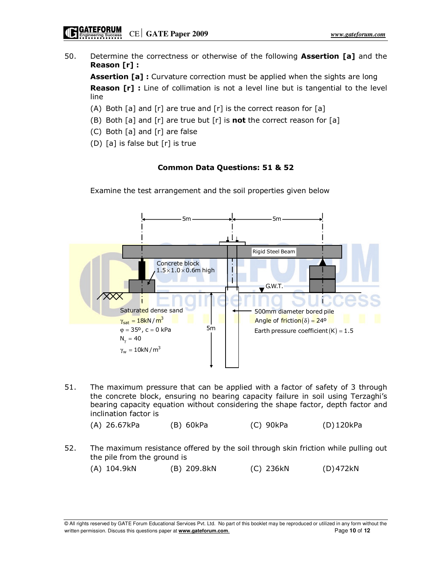50. Determine the correctness or otherwise of the following **Assertion [a]** and the Reason [r] :

**Assertion [a] :** Curvature correction must be applied when the sights are long **Reason [r] :** Line of collimation is not a level line but is tangential to the level line

- (A) Both [a] and [r] are true and [r] is the correct reason for [a]
- (B) Both [a] and [r] are true but [r] is **not** the correct reason for [a]
- (C) Both [a] and [r] are false
- (D) [a] is false but [r] is true

### Common Data Questions: 51 & 52

Examine the test arrangement and the soil properties given below



51. The maximum pressure that can be applied with a factor of safety of 3 through the concrete block, ensuring no bearing capacity failure in soil using Terzaghi's bearing capacity equation without considering the shape factor, depth factor and inclination factor is

(A) 26.67kPa (B) 60kPa (C) 90kPa (D) 120kPa

52. The maximum resistance offered by the soil through skin friction while pulling out the pile from the ground is

(A) 104.9kN (B) 209.8kN (C) 236kN (D) 472kN

© All rights reserved by GATE Forum Educational Services Pvt. Ltd. No part of this booklet may be reproduced or utilized in any form without the written permission. Discuss this questions paper at **www.gateforum.com.** Page 10 of 12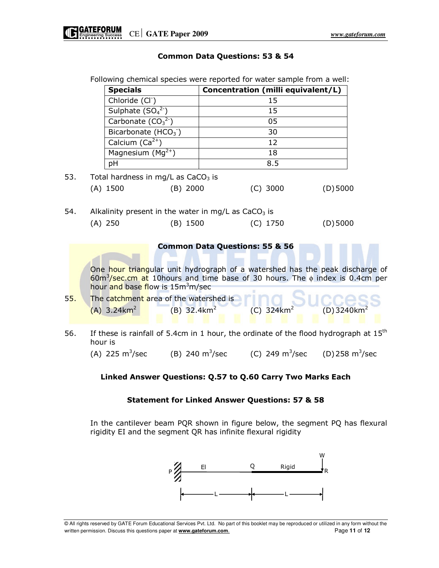### Common Data Questions: 53 & 54

|                   | <b>Specials</b>                                                                         | Chloride (Cl <sup>-</sup> )                                                                                                                                                   |                       |          | Concentration (milli equivalent/L) |                                                         |  |  |  |
|-------------------|-----------------------------------------------------------------------------------------|-------------------------------------------------------------------------------------------------------------------------------------------------------------------------------|-----------------------|----------|------------------------------------|---------------------------------------------------------|--|--|--|
|                   |                                                                                         |                                                                                                                                                                               |                       |          | 15                                 |                                                         |  |  |  |
|                   | Sulphate $(SO42)$<br>Carbonate $(CO_3^2)$                                               |                                                                                                                                                                               |                       | 15<br>05 |                                    |                                                         |  |  |  |
|                   |                                                                                         |                                                                                                                                                                               |                       |          |                                    |                                                         |  |  |  |
|                   | Bicarbonate $(HCO3)$                                                                    | 30<br>12<br>18                                                                                                                                                                |                       |          |                                    |                                                         |  |  |  |
|                   | Calcium $(Ca^{2+})$                                                                     |                                                                                                                                                                               |                       |          |                                    |                                                         |  |  |  |
|                   | Magnesium $(Mg^{2+})$                                                                   |                                                                                                                                                                               |                       |          |                                    |                                                         |  |  |  |
|                   | pH                                                                                      |                                                                                                                                                                               |                       |          | 8.5                                |                                                         |  |  |  |
| 53.               | Total hardness in mg/L as CaCO <sub>3</sub> is                                          |                                                                                                                                                                               |                       |          |                                    |                                                         |  |  |  |
|                   | $(A)$ 1500                                                                              | $(B)$ 2000                                                                                                                                                                    |                       |          | (C) 3000                           | $(D)$ 5000                                              |  |  |  |
|                   |                                                                                         |                                                                                                                                                                               |                       |          |                                    |                                                         |  |  |  |
| 54.               | Alkalinity present in the water in mg/L as $CaCO3$ is                                   |                                                                                                                                                                               |                       |          |                                    |                                                         |  |  |  |
|                   | $(A)$ 250<br>(B) 1500                                                                   |                                                                                                                                                                               |                       |          | $(C)$ 1750                         | $(D)$ 5000                                              |  |  |  |
|                   |                                                                                         |                                                                                                                                                                               |                       |          |                                    |                                                         |  |  |  |
|                   | <b>Common Data Questions: 55 &amp; 56</b>                                               |                                                                                                                                                                               |                       |          |                                    |                                                         |  |  |  |
|                   |                                                                                         |                                                                                                                                                                               |                       |          |                                    |                                                         |  |  |  |
|                   |                                                                                         |                                                                                                                                                                               |                       |          |                                    |                                                         |  |  |  |
|                   |                                                                                         | One hour triangular unit hydrograph of a watershed has the peak discharge of<br>60m <sup>3</sup> /sec.cm at 10 hours and time base of 30 hours. The $\phi$ index is 0.4cm per |                       |          |                                    |                                                         |  |  |  |
|                   |                                                                                         | hour and base flow is 15m <sup>3</sup> m/sec                                                                                                                                  |                       |          |                                    |                                                         |  |  |  |
| 5 <mark>5.</mark> | The catchment area of the watershed is                                                  |                                                                                                                                                                               |                       |          |                                    |                                                         |  |  |  |
|                   | $(A)$ 3.24 km <sup>2</sup>                                                              | $(B)$ 32.4 $km^2$                                                                                                                                                             |                       |          | (C) $324 \text{km}^2$              | $(D)$ 3240 $km2$                                        |  |  |  |
|                   |                                                                                         |                                                                                                                                                                               |                       |          |                                    |                                                         |  |  |  |
| 56.               | If these is rainfall of 5.4cm in 1 hour, the ordinate of the flood hydrograph at $15th$ |                                                                                                                                                                               |                       |          |                                    |                                                         |  |  |  |
|                   | hour is                                                                                 |                                                                                                                                                                               |                       |          |                                    |                                                         |  |  |  |
|                   | (A) 225 $m^3$ /sec                                                                      |                                                                                                                                                                               | (B) 240 $\rm m^3/sec$ |          |                                    | (C) 249 m <sup>3</sup> /sec (D) 258 m <sup>3</sup> /sec |  |  |  |

Following chemical species were reported for water sample from a well:

### Linked Answer Questions: Q.57 to Q.60 Carry Two Marks Each

#### Statement for Linked Answer Questions: 57 & 58

 In the cantilever beam PQR shown in figure below, the segment PQ has flexural rigidity EI and the segment QR has infinite flexural rigidity



<sup>©</sup> All rights reserved by GATE Forum Educational Services Pvt. Ltd. No part of this booklet may be reproduced or utilized in any form without the written permission. Discuss this questions paper at **www.gateforum.com.** example and the same paper 11 of 12